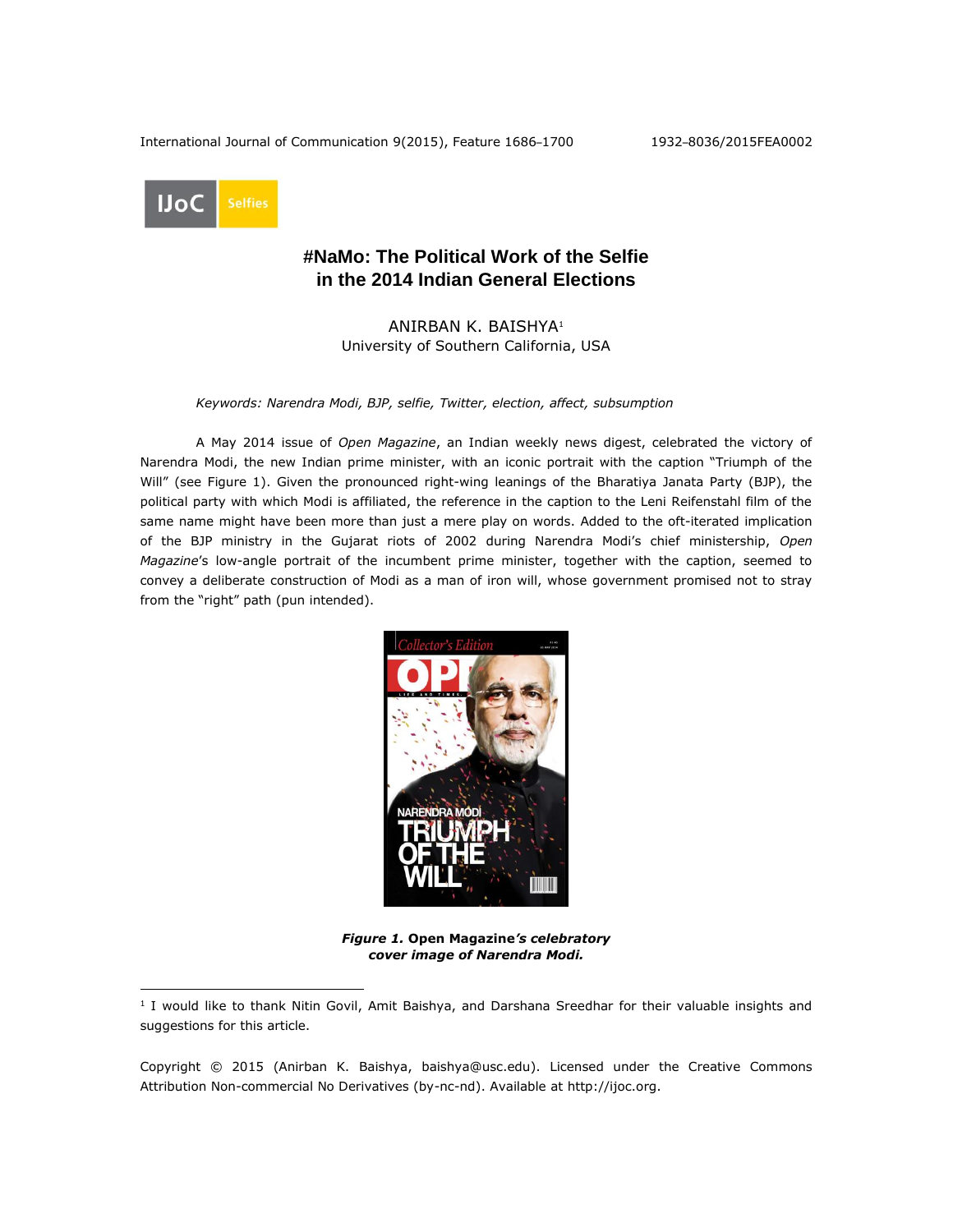

# **#NaMo: The Political Work of the Selfie in the 2014 Indian General Elections**

ANIRBAN K. BAISHYA<sup>1</sup> University of Southern California, USA

*Keywords: Narendra Modi, BJP, selfie, Twitter, election, affect, subsumption*

A May 2014 issue of *Open Magazine*, an Indian weekly news digest, celebrated the victory of Narendra Modi, the new Indian prime minister, with an iconic portrait with the caption "Triumph of the Will" (see Figure 1). Given the pronounced right-wing leanings of the Bharatiya Janata Party (BJP), the political party with which Modi is affiliated, the reference in the caption to the Leni Reifenstahl film of the same name might have been more than just a mere play on words. Added to the oft-iterated implication of the BJP ministry in the Gujarat riots of 2002 during Narendra Modi's chief ministership, *Open Magazine*'s low-angle portrait of the incumbent prime minister, together with the caption, seemed to convey a deliberate construction of Modi as a man of iron will, whose government promised not to stray from the "right" path (pun intended).



*Figure 1.* **Open Magazine***'s celebratory cover image of Narendra Modi.*

Copyright © 2015 (Anirban K. Baishya, baishya@usc.edu). Licensed under the Creative Commons Attribution Non-commercial No Derivatives (by-nc-nd). Available at [http://ijoc.org.](http://ijoc.org/)

<sup>&</sup>lt;sup>1</sup> I would like to thank Nitin Govil, Amit Baishya, and Darshana Sreedhar for their valuable insights and suggestions for this article.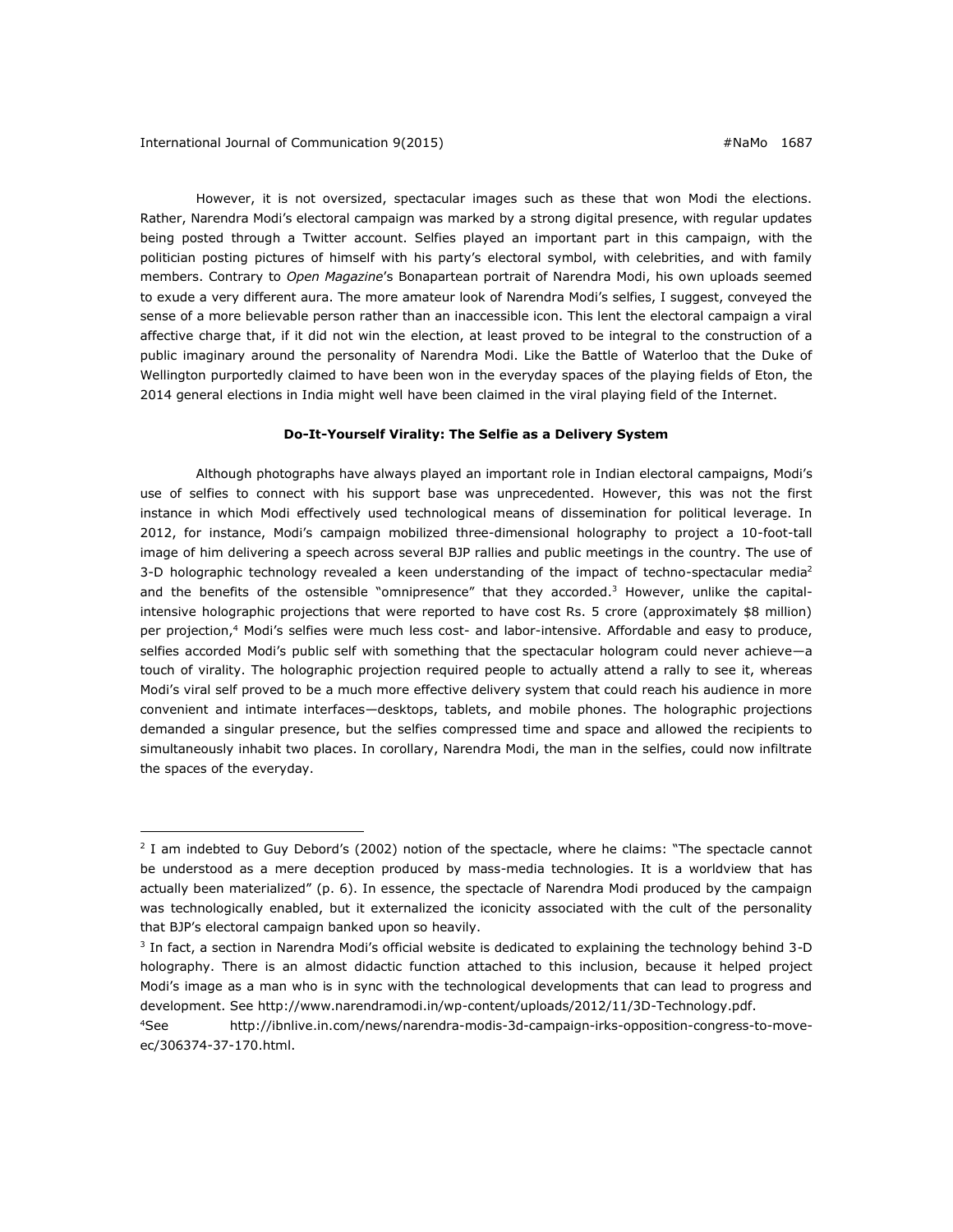However, it is not oversized, spectacular images such as these that won Modi the elections. Rather, Narendra Modi's electoral campaign was marked by a strong digital presence, with regular updates being posted through a Twitter account. Selfies played an important part in this campaign, with the politician posting pictures of himself with his party's electoral symbol, with celebrities, and with family members. Contrary to *Open Magazine*'s Bonapartean portrait of Narendra Modi, his own uploads seemed to exude a very different aura. The more amateur look of Narendra Modi's selfies, I suggest, conveyed the sense of a more believable person rather than an inaccessible icon. This lent the electoral campaign a viral affective charge that, if it did not win the election, at least proved to be integral to the construction of a public imaginary around the personality of Narendra Modi. Like the Battle of Waterloo that the Duke of Wellington purportedly claimed to have been won in the everyday spaces of the playing fields of Eton, the 2014 general elections in India might well have been claimed in the viral playing field of the Internet.

### **Do-It-Yourself Virality: The Selfie as a Delivery System**

Although photographs have always played an important role in Indian electoral campaigns, Modi's use of selfies to connect with his support base was unprecedented. However, this was not the first instance in which Modi effectively used technological means of dissemination for political leverage. In 2012, for instance, Modi's campaign mobilized three-dimensional holography to project a 10-foot-tall image of him delivering a speech across several BJP rallies and public meetings in the country. The use of 3-D holographic technology revealed a keen understanding of the impact of techno-spectacular media<sup>2</sup> and the benefits of the ostensible "omnipresence" that they accorded.<sup>3</sup> However, unlike the capitalintensive holographic projections that were reported to have cost Rs. 5 crore (approximately \$8 million) per projection,<sup>4</sup> Modi's selfies were much less cost- and labor-intensive. Affordable and easy to produce, selfies accorded Modi's public self with something that the spectacular hologram could never achieve-a touch of virality. The holographic projection required people to actually attend a rally to see it, whereas Modi's viral self proved to be a much more effective delivery system that could reach his audience in more convenient and intimate interfaces—desktops, tablets, and mobile phones. The holographic projections demanded a singular presence, but the selfies compressed time and space and allowed the recipients to simultaneously inhabit two places. In corollary, Narendra Modi, the man in the selfies, could now infiltrate the spaces of the everyday.

<sup>&</sup>lt;sup>2</sup> I am indebted to Guy Debord's (2002) notion of the spectacle, where he claims: "The spectacle cannot be understood as a mere deception produced by mass-media technologies. It is a worldview that has actually been materialized" (p. 6). In essence, the spectacle of Narendra Modi produced by the campaign was technologically enabled, but it externalized the iconicity associated with the cult of the personality that BJP's electoral campaign banked upon so heavily.

<sup>&</sup>lt;sup>3</sup> In fact, a section in Narendra Modi's official website is dedicated to explaining the technology behind 3-D holography. There is an almost didactic function attached to this inclusion, because it helped project Modi's image as a man who is in sync with the technological developments that can lead to progress and development. See [http://www.narendramodi.in/wp-content/uploads/2012/11/3D-Technology.pdf.](http://www.narendramodi.in/wp-content/uploads/2012/11/3D-Technology.pdf)

<sup>4</sup>See [http://ibnlive.in.com/news/narendra-modis-3d-campaign-irks-opposition-congress-to-move](http://ibnlive.in.com/news/narendra-modis-3d-campaign-irks-opposition-congress-to-move-ec/306374-37-170.html)[ec/306374-37-170.html.](http://ibnlive.in.com/news/narendra-modis-3d-campaign-irks-opposition-congress-to-move-ec/306374-37-170.html)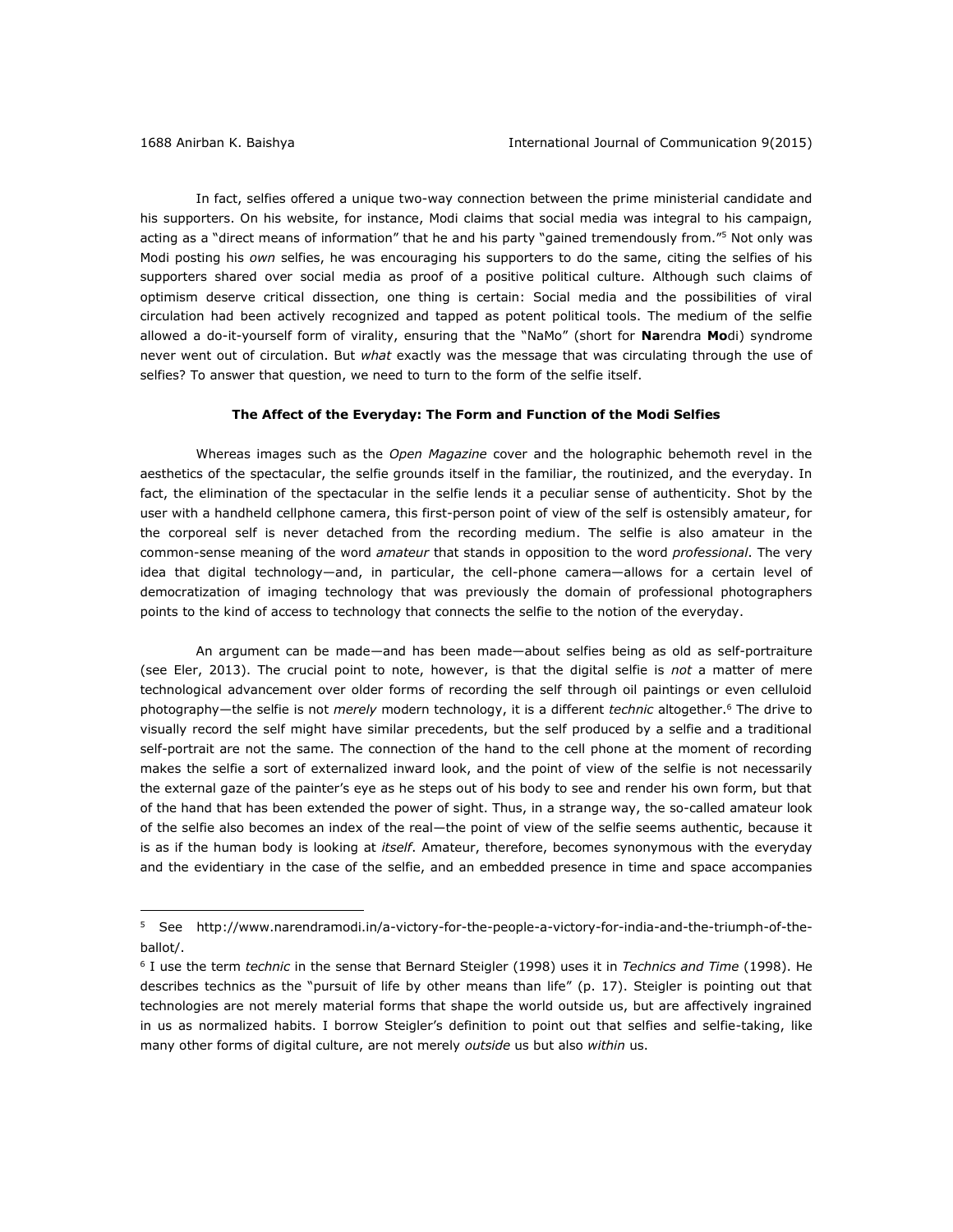In fact, selfies offered a unique two-way connection between the prime ministerial candidate and his supporters. On his website, for instance, Modi claims that social media was integral to his campaign, acting as a "direct means of information" that he and his party "gained tremendously from."<sup>5</sup> Not only was Modi posting his *own* selfies, he was encouraging his supporters to do the same, citing the selfies of his supporters shared over social media as proof of a positive political culture. Although such claims of optimism deserve critical dissection, one thing is certain: Social media and the possibilities of viral circulation had been actively recognized and tapped as potent political tools. The medium of the selfie allowed a do-it-yourself form of virality, ensuring that the "NaMo" (short for **Na**rendra **Mo**di) syndrome never went out of circulation. But *what* exactly was the message that was circulating through the use of selfies? To answer that question, we need to turn to the form of the selfie itself.

### **The Affect of the Everyday: The Form and Function of the Modi Selfies**

Whereas images such as the *Open Magazine* cover and the holographic behemoth revel in the aesthetics of the spectacular, the selfie grounds itself in the familiar, the routinized, and the everyday. In fact, the elimination of the spectacular in the selfie lends it a peculiar sense of authenticity. Shot by the user with a handheld cellphone camera, this first-person point of view of the self is ostensibly amateur, for the corporeal self is never detached from the recording medium. The selfie is also amateur in the common-sense meaning of the word *amateur* that stands in opposition to the word *professional*. The very idea that digital technology—and, in particular, the cell-phone camera—allows for a certain level of democratization of imaging technology that was previously the domain of professional photographers points to the kind of access to technology that connects the selfie to the notion of the everyday.

An argument can be made—and has been made—about selfies being as old as self-portraiture (see Eler, 2013). The crucial point to note, however, is that the digital selfie is *not* a matter of mere technological advancement over older forms of recording the self through oil paintings or even celluloid photography—the selfie is not *merely* modern technology, it is a different *technic* altogether.<sup>6</sup> The drive to visually record the self might have similar precedents, but the self produced by a selfie and a traditional self-portrait are not the same. The connection of the hand to the cell phone at the moment of recording makes the selfie a sort of externalized inward look, and the point of view of the selfie is not necessarily the external gaze of the painter's eye as he steps out of his body to see and render his own form, but that of the hand that has been extended the power of sight. Thus, in a strange way, the so-called amateur look of the selfie also becomes an index of the real—the point of view of the selfie seems authentic, because it is as if the human body is looking at *itself*. Amateur, therefore, becomes synonymous with the everyday and the evidentiary in the case of the selfie, and an embedded presence in time and space accompanies

<sup>5</sup> See [http://www.narendramodi.in/a-victory-for-the-people-a-victory-for-india-and-the-triumph-of-the](http://www.narendramodi.in/a-victory-for-the-people-a-victory-for-india-and-the-triumph-of-the-ballot/)[ballot/.](http://www.narendramodi.in/a-victory-for-the-people-a-victory-for-india-and-the-triumph-of-the-ballot/)

<sup>6</sup> I use the term *technic* in the sense that Bernard Steigler (1998) uses it in *Technics and Time* (1998). He describes technics as the "pursuit of life by other means than life" (p. 17). Steigler is pointing out that technologies are not merely material forms that shape the world outside us, but are affectively ingrained in us as normalized habits. I borrow Steigler's definition to point out that selfies and selfie-taking, like many other forms of digital culture, are not merely *outside* us but also *within* us.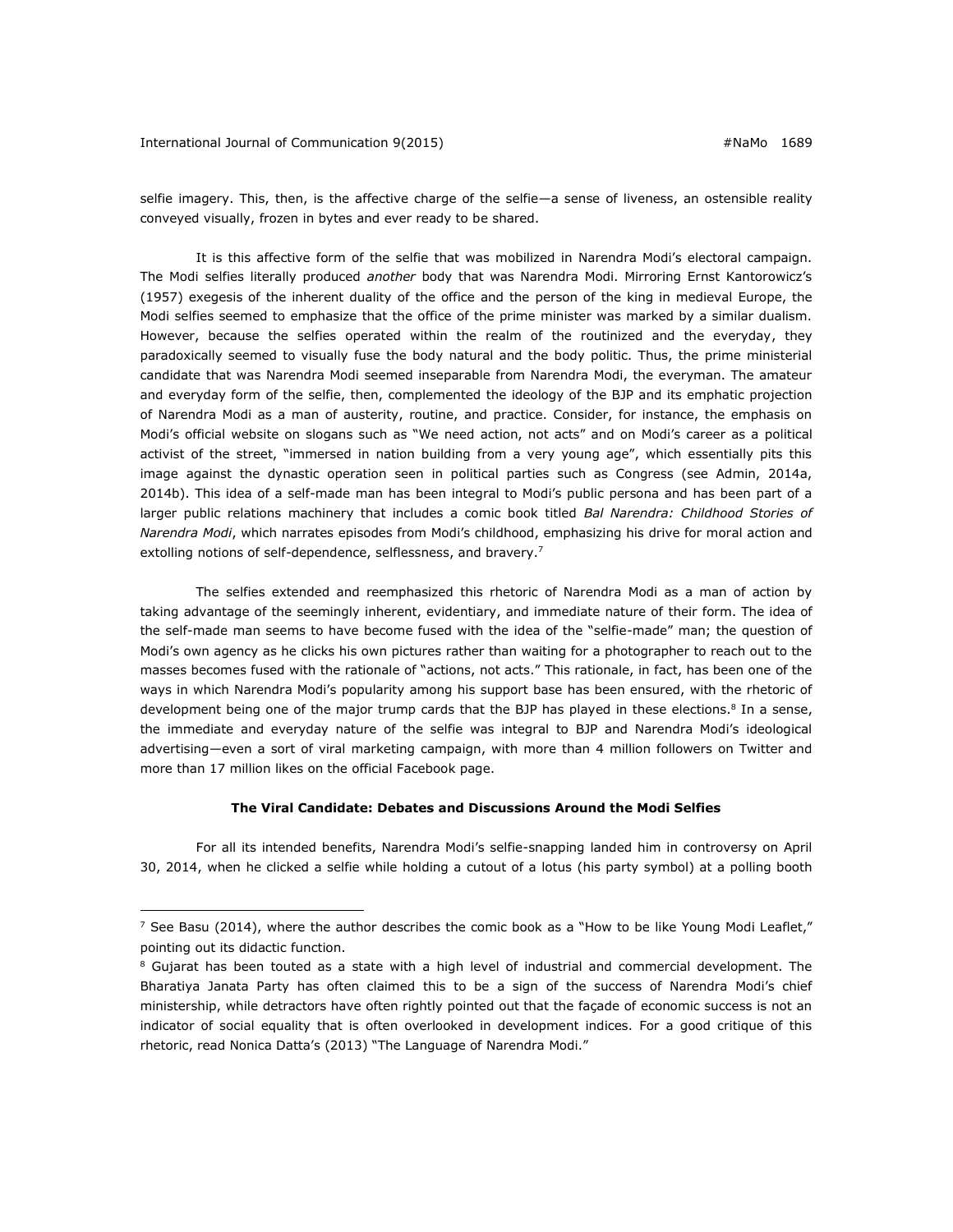selfie imagery. This, then, is the affective charge of the selfie—a sense of liveness, an ostensible reality conveyed visually, frozen in bytes and ever ready to be shared.

It is this affective form of the selfie that was mobilized in Narendra Modi's electoral campaign. The Modi selfies literally produced *another* body that was Narendra Modi. Mirroring Ernst Kantorowicz's (1957) exegesis of the inherent duality of the office and the person of the king in medieval Europe, the Modi selfies seemed to emphasize that the office of the prime minister was marked by a similar dualism. However, because the selfies operated within the realm of the routinized and the everyday, they paradoxically seemed to visually fuse the body natural and the body politic. Thus, the prime ministerial candidate that was Narendra Modi seemed inseparable from Narendra Modi, the everyman. The amateur and everyday form of the selfie, then, complemented the ideology of the BJP and its emphatic projection of Narendra Modi as a man of austerity, routine, and practice. Consider, for instance, the emphasis on Modi's official website on slogans such as "We need action, not acts" and on Modi's career as a political activist of the street, "immersed in nation building from a very young age", which essentially pits this image against the dynastic operation seen in political parties such as Congress (see Admin, 2014a, 2014b). This idea of a self-made man has been integral to Modi's public persona and has been part of a larger public relations machinery that includes a comic book titled *Bal Narendra: Childhood Stories of Narendra Modi*, which narrates episodes from Modi's childhood, emphasizing his drive for moral action and extolling notions of self-dependence, selflessness, and bravery.<sup>7</sup>

The selfies extended and reemphasized this rhetoric of Narendra Modi as a man of action by taking advantage of the seemingly inherent, evidentiary, and immediate nature of their form. The idea of the self-made man seems to have become fused with the idea of the "selfie-made" man; the question of Modi's own agency as he clicks his own pictures rather than waiting for a photographer to reach out to the masses becomes fused with the rationale of "actions, not acts." This rationale, in fact, has been one of the ways in which Narendra Modi's popularity among his support base has been ensured, with the rhetoric of development being one of the major trump cards that the BJP has played in these elections.<sup>8</sup> In a sense, the immediate and everyday nature of the selfie was integral to BJP and Narendra Modi's ideological advertising—even a sort of viral marketing campaign, with more than 4 million followers on Twitter and more than 17 million likes on the official Facebook page.

## **The Viral Candidate: Debates and Discussions Around the Modi Selfies**

For all its intended benefits, Narendra Modi's selfie-snapping landed him in controversy on April 30, 2014, when he clicked a selfie while holding a cutout of a lotus (his party symbol) at a polling booth

<sup>&</sup>lt;sup>7</sup> See Basu (2014), where the author describes the comic book as a "How to be like Young Modi Leaflet," pointing out its didactic function.

<sup>&</sup>lt;sup>8</sup> Gujarat has been touted as a state with a high level of industrial and commercial development. The Bharatiya Janata Party has often claimed this to be a sign of the success of Narendra Modi's chief ministership, while detractors have often rightly pointed out that the façade of economic success is not an indicator of social equality that is often overlooked in development indices. For a good critique of this rhetoric, read Nonica Datta's (2013) "The Language of Narendra Modi."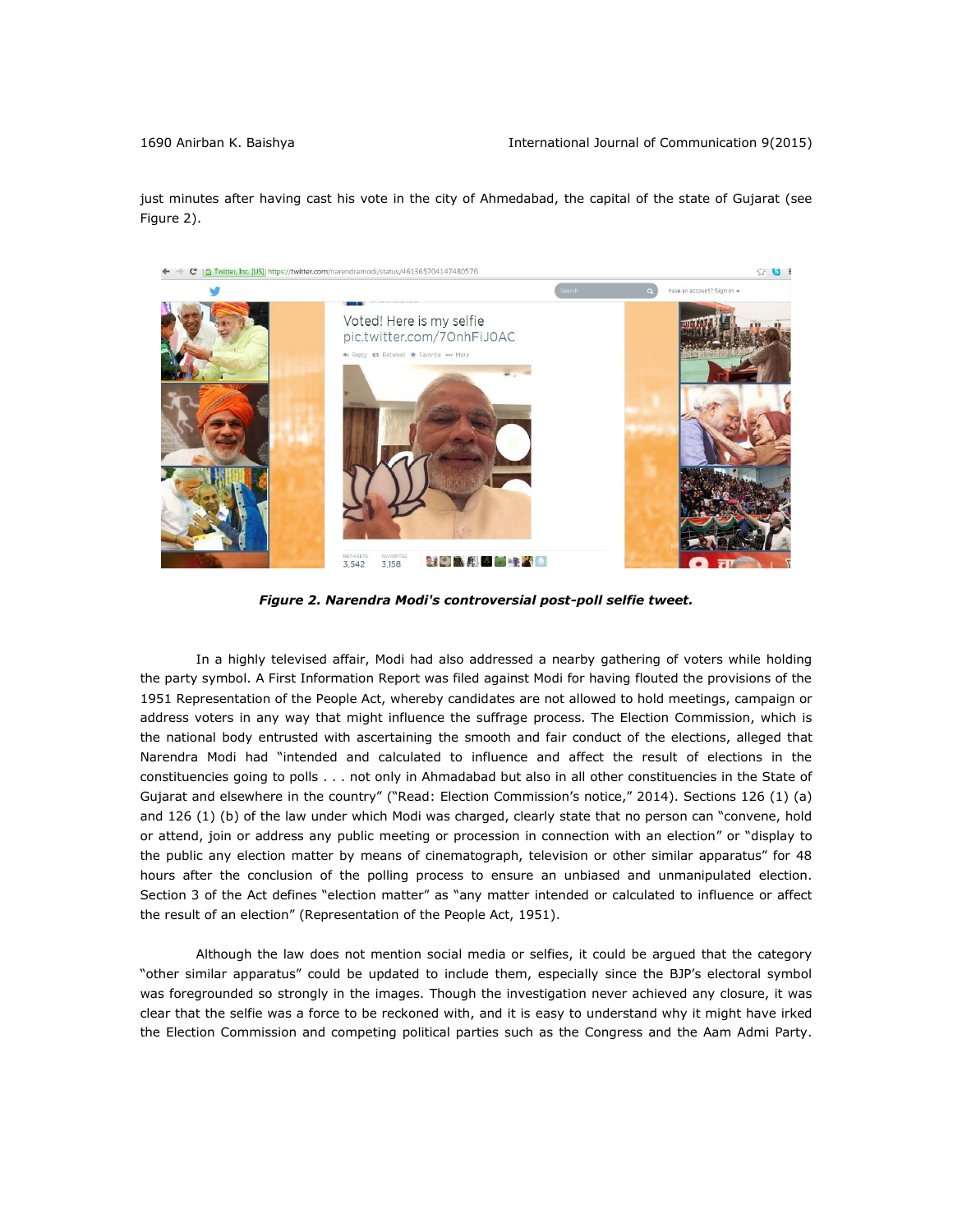just minutes after having cast his vote in the city of Ahmedabad, the capital of the state of Gujarat (see Figure 2).



*Figure 2. Narendra Modi's controversial post-poll selfie tweet.*

In a highly televised affair, Modi had also addressed a nearby gathering of voters while holding the party symbol. A First Information Report was filed against Modi for having flouted the provisions of the 1951 Representation of the People Act, whereby candidates are not allowed to hold meetings, campaign or address voters in any way that might influence the suffrage process. The Election Commission, which is the national body entrusted with ascertaining the smooth and fair conduct of the elections, alleged that Narendra Modi had "intended and calculated to influence and affect the result of elections in the constituencies going to polls . . . not only in Ahmadabad but also in all other constituencies in the State of Gujarat and elsewhere in the country" ("Read: Election Commission's notice," 2014). Sections 126 (1) (a) and 126 (1) (b) of the law under which Modi was charged, clearly state that no person can "convene, hold or attend, join or address any public meeting or procession in connection with an election" or "display to the public any election matter by means of cinematograph, television or other similar apparatus" for 48 hours after the conclusion of the polling process to ensure an unbiased and unmanipulated election. Section 3 of the Act defines "election matter" as "any matter intended or calculated to influence or affect the result of an election" (Representation of the People Act, 1951).

Although the law does not mention social media or selfies, it could be argued that the category "other similar apparatus" could be updated to include them, especially since the BJP's electoral symbol was foregrounded so strongly in the images. Though the investigation never achieved any closure, it was clear that the selfie was a force to be reckoned with, and it is easy to understand why it might have irked the Election Commission and competing political parties such as the Congress and the Aam Admi Party.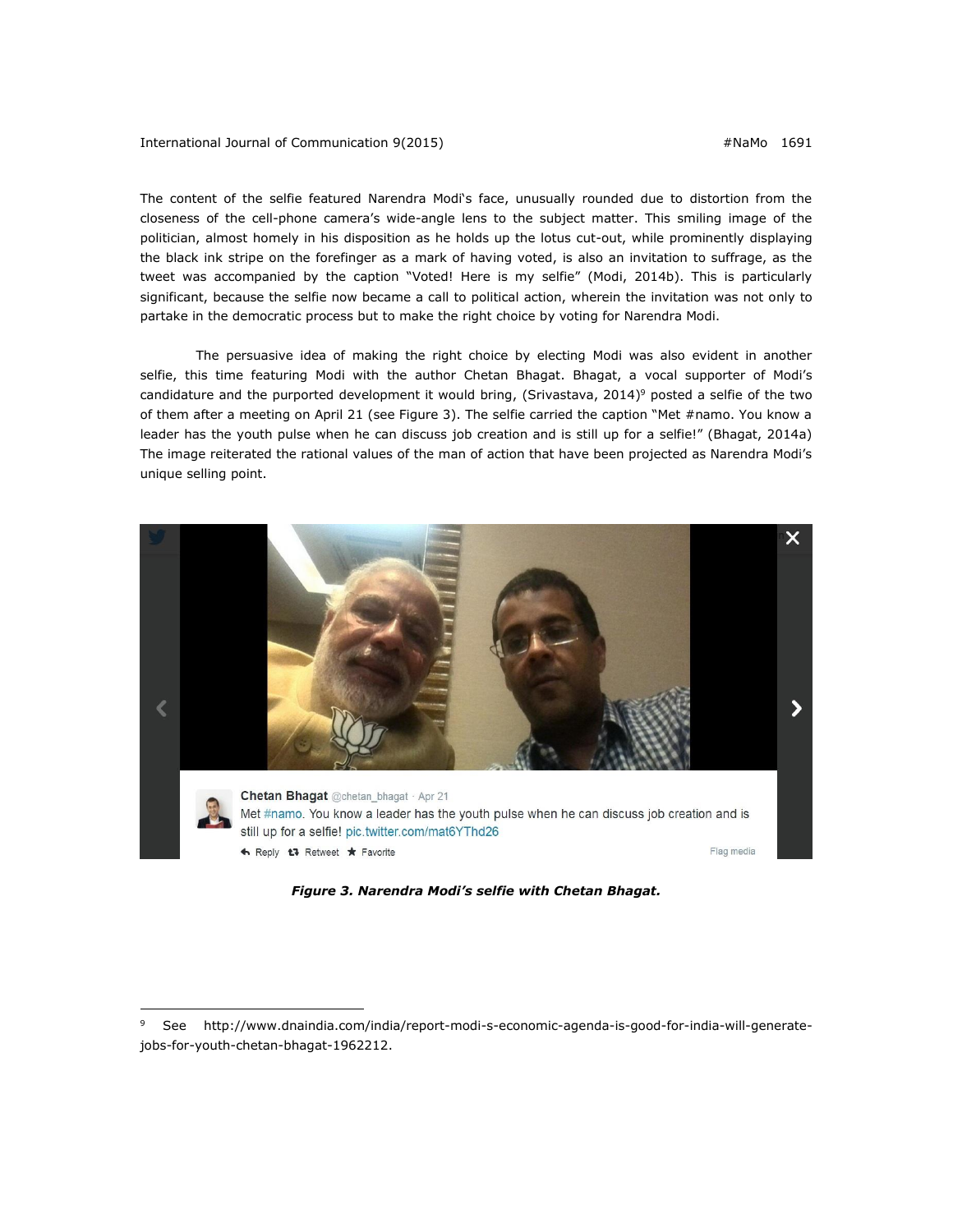The content of the selfie featured Narendra Modi's face, unusually rounded due to distortion from the closeness of the cell-phone camera's wide-angle lens to the subject matter. This smiling image of the politician, almost homely in his disposition as he holds up the lotus cut-out, while prominently displaying the black ink stripe on the forefinger as a mark of having voted, is also an invitation to suffrage, as the tweet was accompanied by the caption "Voted! Here is my selfie" (Modi, 2014b). This is particularly significant, because the selfie now became a call to political action, wherein the invitation was not only to partake in the democratic process but to make the right choice by voting for Narendra Modi.

The persuasive idea of making the right choice by electing Modi was also evident in another selfie, this time featuring Modi with the author Chetan Bhagat. Bhagat, a vocal supporter of Modi's candidature and the purported development it would bring, (Srivastava, 2014)<sup>9</sup> posted a selfie of the two of them after a meeting on April 21 (see Figure 3). The selfie carried the caption "Met #namo. You know a leader has the youth pulse when he can discuss job creation and is still up for a selfie!" (Bhagat, 2014a) The image reiterated the rational values of the man of action that have been projected as Narendra Modi's unique selling point.



*Figure 3. Narendra Modi's selfie with Chetan Bhagat.*

<sup>9</sup> See [http://www.dnaindia.com/india/report-modi-s-economic-agenda-is-good-for-india-will-generate](http://www.dnaindia.com/india/report-modi-s-economic-agenda-is-good-for-india-will-generate-jobs-for-youth-chetan-bhagat-1962212)[jobs-for-youth-chetan-bhagat-1962212.](http://www.dnaindia.com/india/report-modi-s-economic-agenda-is-good-for-india-will-generate-jobs-for-youth-chetan-bhagat-1962212)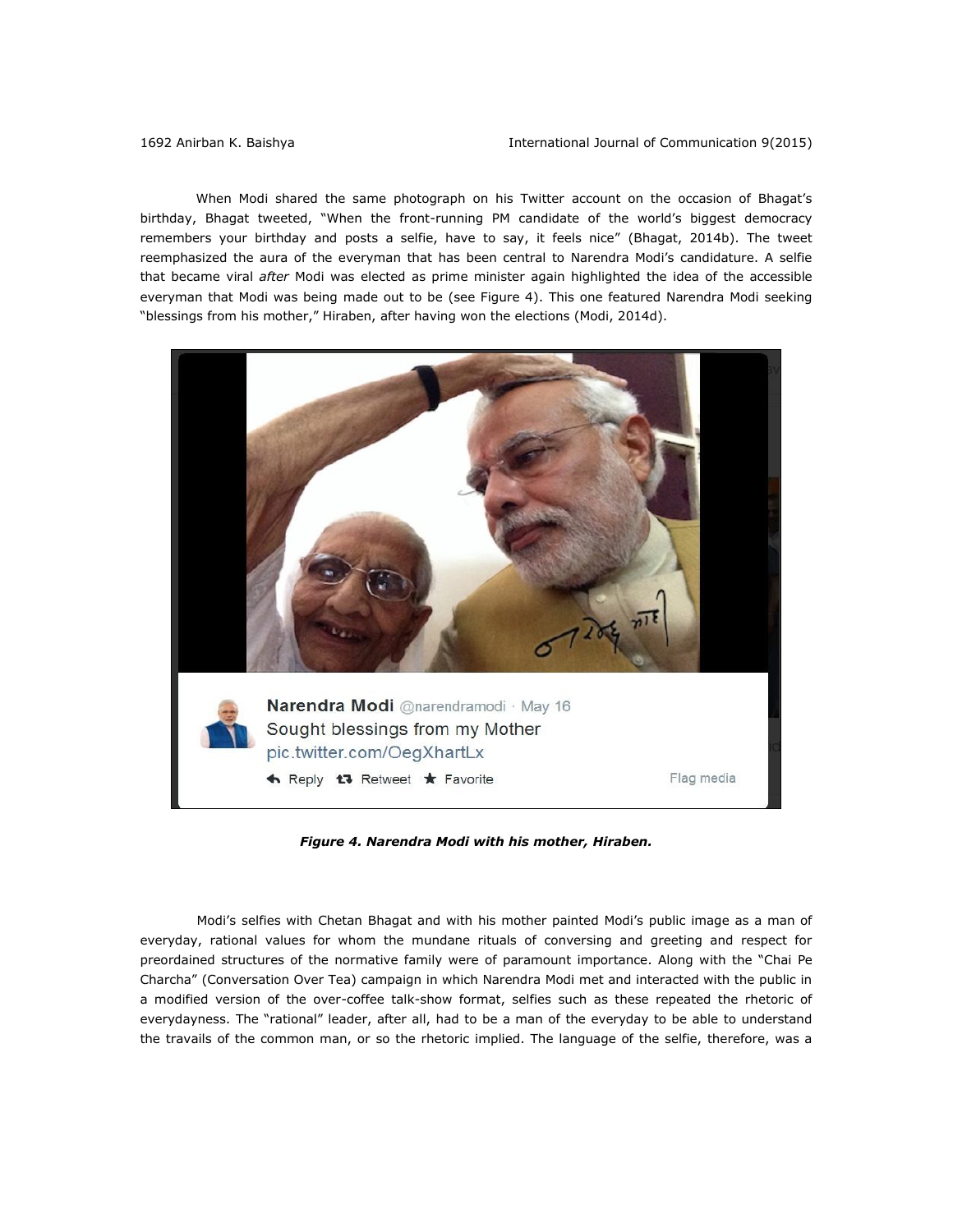When Modi shared the same photograph on his Twitter account on the occasion of Bhagat's birthday, Bhagat tweeted, "When the front-running PM candidate of the world's biggest democracy remembers your birthday and posts a selfie, have to say, it feels nice" (Bhagat, 2014b). The tweet reemphasized the aura of the everyman that has been central to Narendra Modi's candidature. A selfie that became viral *after* Modi was elected as prime minister again highlighted the idea of the accessible everyman that Modi was being made out to be (see Figure 4). This one featured Narendra Modi seeking "blessings from his mother," Hiraben, after having won the elections (Modi, 2014d).



*Figure 4. Narendra Modi with his mother, Hiraben.*

 Modi's selfies with Chetan Bhagat and with his mother painted Modi's public image as a man of everyday, rational values for whom the mundane rituals of conversing and greeting and respect for preordained structures of the normative family were of paramount importance. Along with the "Chai Pe Charcha" (Conversation Over Tea) campaign in which Narendra Modi met and interacted with the public in a modified version of the over-coffee talk-show format, selfies such as these repeated the rhetoric of everydayness. The "rational" leader, after all, had to be a man of the everyday to be able to understand the travails of the common man, or so the rhetoric implied. The language of the selfie, therefore, was a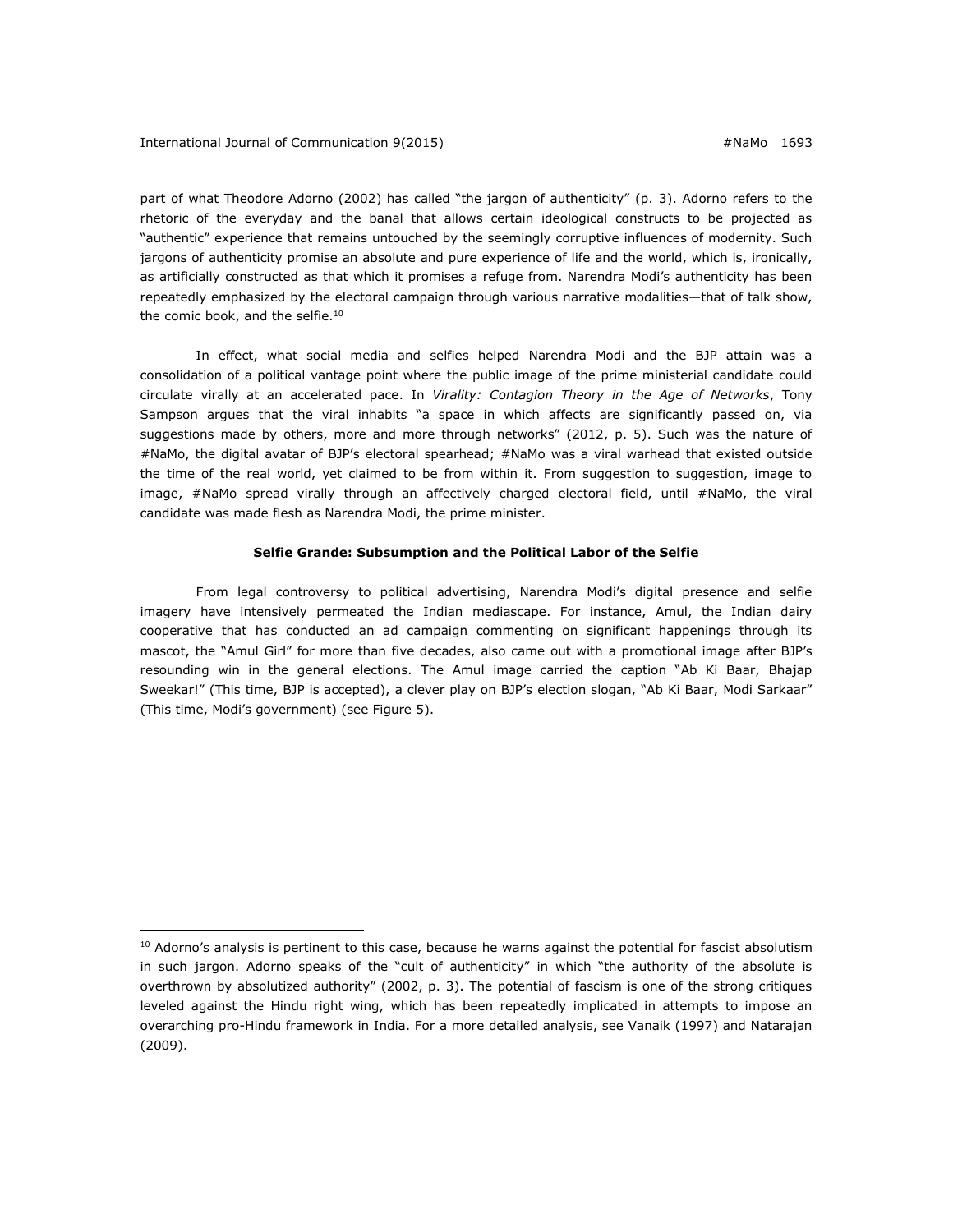part of what Theodore Adorno (2002) has called "the jargon of authenticity" (p. 3). Adorno refers to the rhetoric of the everyday and the banal that allows certain ideological constructs to be projected as "authentic" experience that remains untouched by the seemingly corruptive influences of modernity. Such jargons of authenticity promise an absolute and pure experience of life and the world, which is, ironically, as artificially constructed as that which it promises a refuge from. Narendra Modi's authenticity has been repeatedly emphasized by the electoral campaign through various narrative modalities—that of talk show, the comic book, and the selfie.<sup>10</sup>

In effect, what social media and selfies helped Narendra Modi and the BJP attain was a consolidation of a political vantage point where the public image of the prime ministerial candidate could circulate virally at an accelerated pace. In *Virality: Contagion Theory in the Age of Networks*, Tony Sampson argues that the viral inhabits "a space in which affects are significantly passed on, via suggestions made by others, more and more through networks" (2012, p. 5). Such was the nature of #NaMo, the digital avatar of BJP's electoral spearhead; #NaMo was a viral warhead that existed outside the time of the real world, yet claimed to be from within it. From suggestion to suggestion, image to image, #NaMo spread virally through an affectively charged electoral field, until #NaMo, the viral candidate was made flesh as Narendra Modi, the prime minister.

# **Selfie Grande: Subsumption and the Political Labor of the Selfie**

From legal controversy to political advertising, Narendra Modi's digital presence and selfie imagery have intensively permeated the Indian mediascape. For instance, Amul, the Indian dairy cooperative that has conducted an ad campaign commenting on significant happenings through its mascot, the "Amul Girl" for more than five decades, also came out with a promotional image after BJP's resounding win in the general elections. The Amul image carried the caption "Ab Ki Baar, Bhajap Sweekar!" (This time, BJP is accepted), a clever play on BJP's election slogan, "Ab Ki Baar, Modi Sarkaar" (This time, Modi's government) (see Figure 5).

<sup>&</sup>lt;sup>10</sup> Adorno's analysis is pertinent to this case, because he warns against the potential for fascist absolutism in such jargon. Adorno speaks of the "cult of authenticity" in which "the authority of the absolute is overthrown by absolutized authority" (2002, p. 3). The potential of fascism is one of the strong critiques leveled against the Hindu right wing, which has been repeatedly implicated in attempts to impose an overarching pro-Hindu framework in India. For a more detailed analysis, see Vanaik (1997) and Natarajan (2009).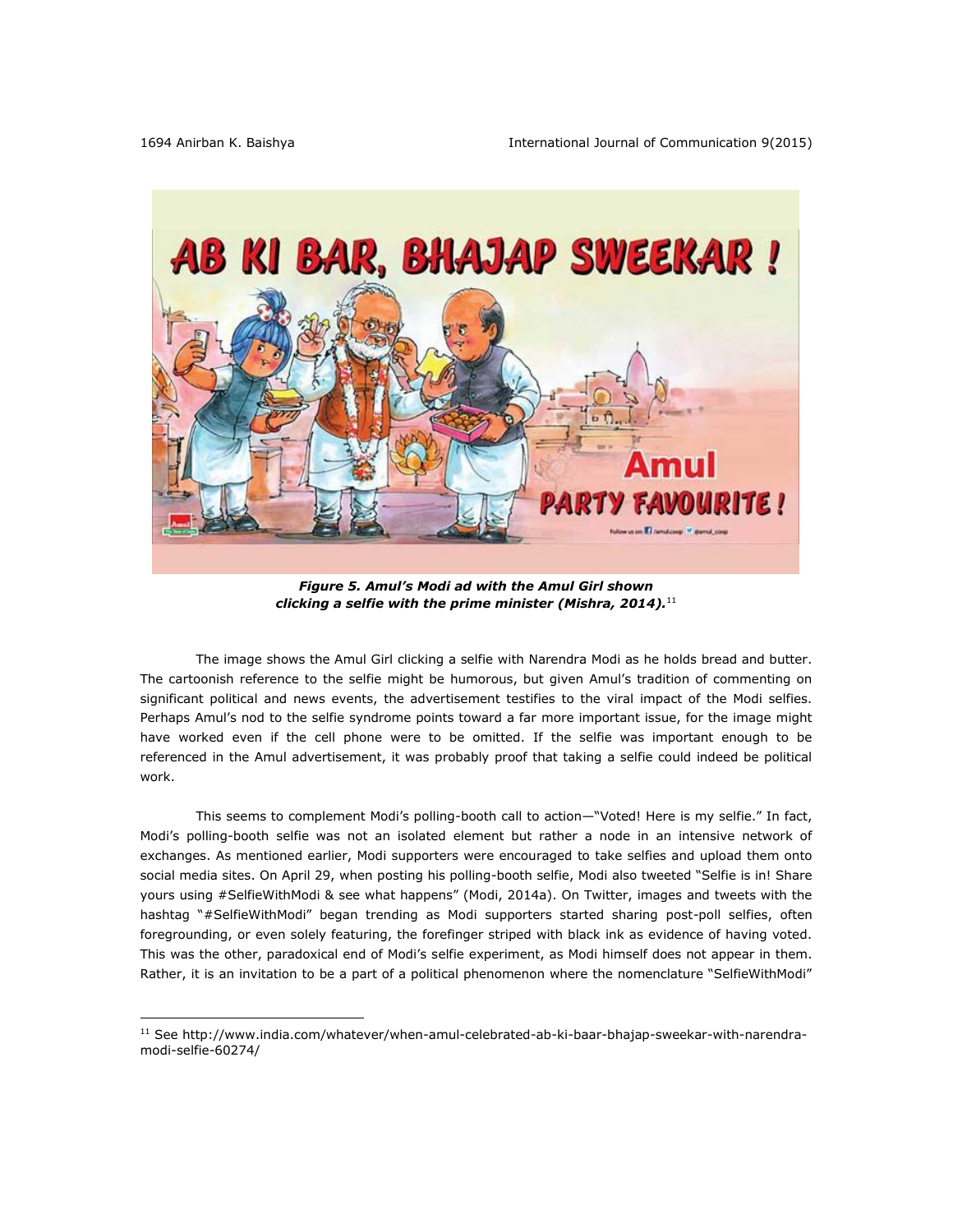

*Figure 5. Amul's Modi ad with the Amul Girl shown clicking a selfie with the prime minister (Mishra, 2014).*<sup>11</sup>

The image shows the Amul Girl clicking a selfie with Narendra Modi as he holds bread and butter. The cartoonish reference to the selfie might be humorous, but given Amul's tradition of commenting on significant political and news events, the advertisement testifies to the viral impact of the Modi selfies. Perhaps Amul's nod to the selfie syndrome points toward a far more important issue, for the image might have worked even if the cell phone were to be omitted. If the selfie was important enough to be referenced in the Amul advertisement, it was probably proof that taking a selfie could indeed be political work.

This seems to complement Modi's polling-booth call to action—"Voted! Here is my selfie." In fact, Modi's polling-booth selfie was not an isolated element but rather a node in an intensive network of exchanges. As mentioned earlier, Modi supporters were encouraged to take selfies and upload them onto social media sites. On April 29, when posting his polling-booth selfie, Modi also tweeted "Selfie is in! Share yours using #SelfieWithModi & see what happens" (Modi, 2014a). On Twitter, images and tweets with the hashtag "#SelfieWithModi" began trending as Modi supporters started sharing post-poll selfies, often foregrounding, or even solely featuring, the forefinger striped with black ink as evidence of having voted. This was the other, paradoxical end of Modi's selfie experiment, as Modi himself does not appear in them. Rather, it is an invitation to be a part of a political phenomenon where the nomenclature "SelfieWithModi"

<sup>11</sup> See [http://www.india.com/whatever/when-amul-celebrated-ab-ki-baar-bhajap-sweekar-with-narendra](http://www.india.com/whatever/when-amul-celebrated-ab-ki-baar-bhajap-sweekar-with-narendra-modi-selfie-60274/)[modi-selfie-60274/](http://www.india.com/whatever/when-amul-celebrated-ab-ki-baar-bhajap-sweekar-with-narendra-modi-selfie-60274/)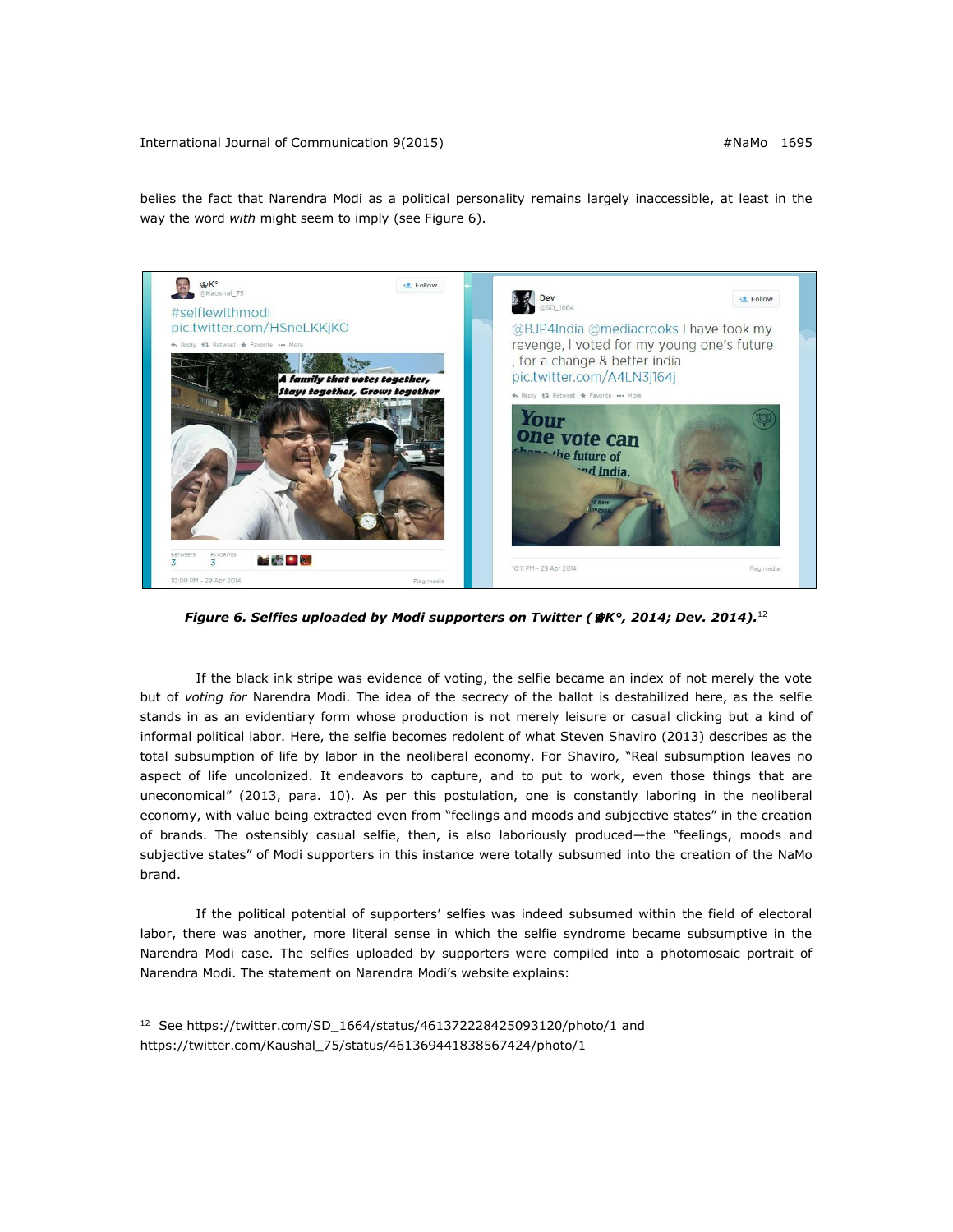belies the fact that Narendra Modi as a political personality remains largely inaccessible, at least in the way the word *with* might seem to imply (see Figure 6).



*Figure 6. Selfies uploaded by Modi supporters on Twitter (*♔*K°, 2014; Dev. 2014).*<sup>12</sup>

If the black ink stripe was evidence of voting, the selfie became an index of not merely the vote but of *voting for* Narendra Modi. The idea of the secrecy of the ballot is destabilized here, as the selfie stands in as an evidentiary form whose production is not merely leisure or casual clicking but a kind of informal political labor. Here, the selfie becomes redolent of what Steven Shaviro (2013) describes as the total subsumption of life by labor in the neoliberal economy. For Shaviro, "Real subsumption leaves no aspect of life uncolonized. It endeavors to capture, and to put to work, even those things that are uneconomical" (2013, para. 10). As per this postulation, one is constantly laboring in the neoliberal economy, with value being extracted even from "feelings and moods and subjective states" in the creation of brands. The ostensibly casual selfie, then, is also laboriously produced—the "feelings, moods and subjective states" of Modi supporters in this instance were totally subsumed into the creation of the NaMo brand.

If the political potential of supporters' selfies was indeed subsumed within the field of electoral labor, there was another, more literal sense in which the selfie syndrome became subsumptive in the Narendra Modi case. The selfies uploaded by supporters were compiled into a photomosaic portrait of Narendra Modi. The statement on Narendra Modi's website explains:

 $\overline{a}$ 

<sup>12</sup> See [https://twitter.com/SD\\_1664/status/461372228425093120/photo/1](https://twitter.com/SD_1664/status/461372228425093120/photo/1) and [https://twitter.com/Kaushal\\_75/status/461369441838567424/photo/1](https://twitter.com/Kaushal_75/status/461369441838567424/photo/1)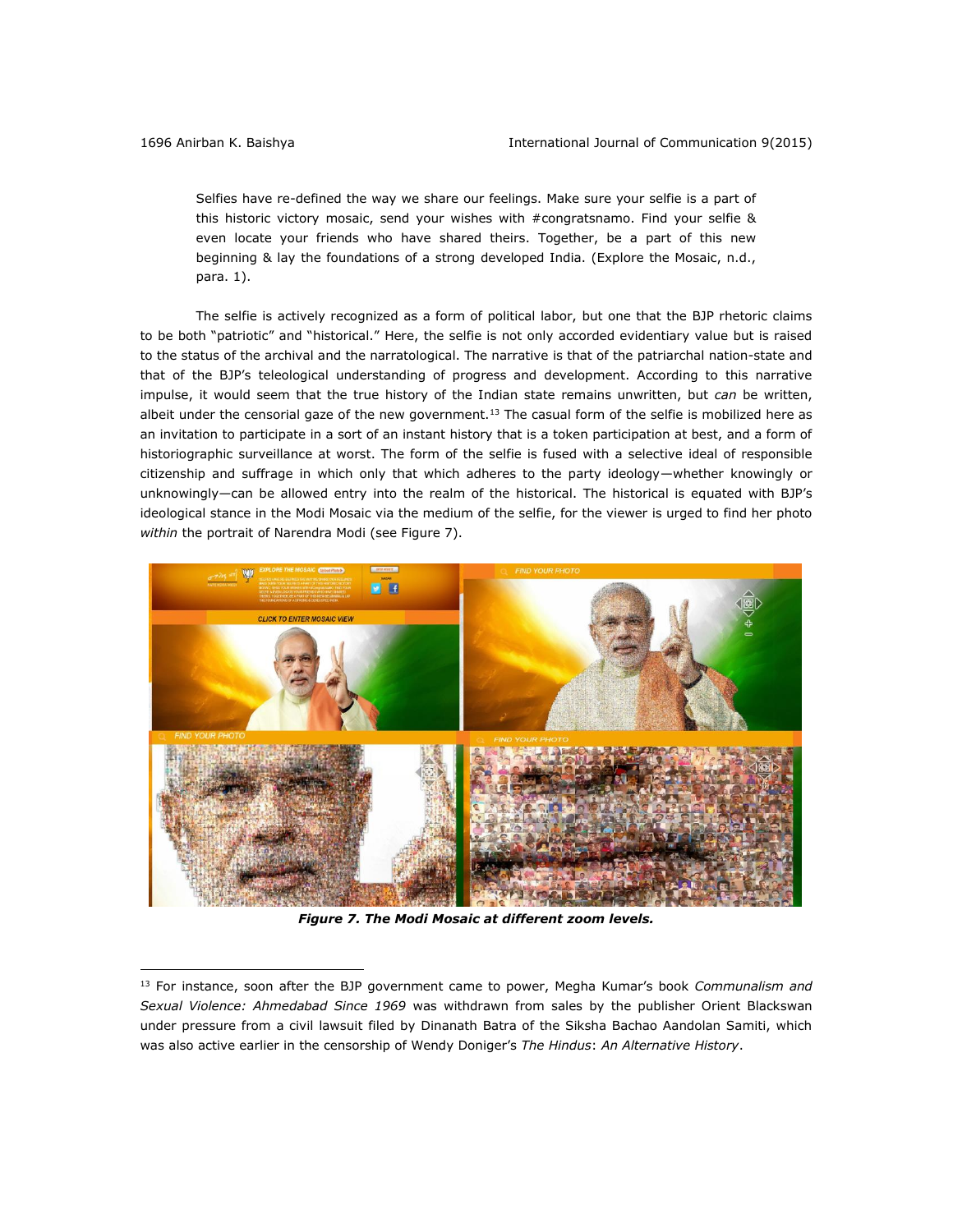Selfies have re-defined the way we share our feelings. Make sure your selfie is a part of this historic victory mosaic, send your wishes with #congratsnamo. Find your selfie & even locate your friends who have shared theirs. Together, be a part of this new beginning & lay the foundations of a strong developed India. (Explore the Mosaic, n.d., para. 1).

The selfie is actively recognized as a form of political labor, but one that the BJP rhetoric claims to be both "patriotic" and "historical." Here, the selfie is not only accorded evidentiary value but is raised to the status of the archival and the narratological. The narrative is that of the patriarchal nation-state and that of the BJP's teleological understanding of progress and development. According to this narrative impulse, it would seem that the true history of the Indian state remains unwritten, but *can* be written, albeit under the censorial gaze of the new government.<sup>13</sup> The casual form of the selfie is mobilized here as an invitation to participate in a sort of an instant history that is a token participation at best, and a form of historiographic surveillance at worst. The form of the selfie is fused with a selective ideal of responsible citizenship and suffrage in which only that which adheres to the party ideology—whether knowingly or unknowingly—can be allowed entry into the realm of the historical. The historical is equated with BJP's ideological stance in the Modi Mosaic via the medium of the selfie, for the viewer is urged to find her photo *within* the portrait of Narendra Modi (see Figure 7).



*Figure 7. The Modi Mosaic at different zoom levels.*

<sup>13</sup> For instance, soon after the BJP government came to power, Megha Kumar's book *Communalism and Sexual Violence: Ahmedabad Since 1969* was withdrawn from sales by the publisher Orient Blackswan under pressure from a civil lawsuit filed by Dinanath Batra of the Siksha Bachao Aandolan Samiti, which was also active earlier in the censorship of Wendy Doniger's *The Hindus*: *An Alternative History*.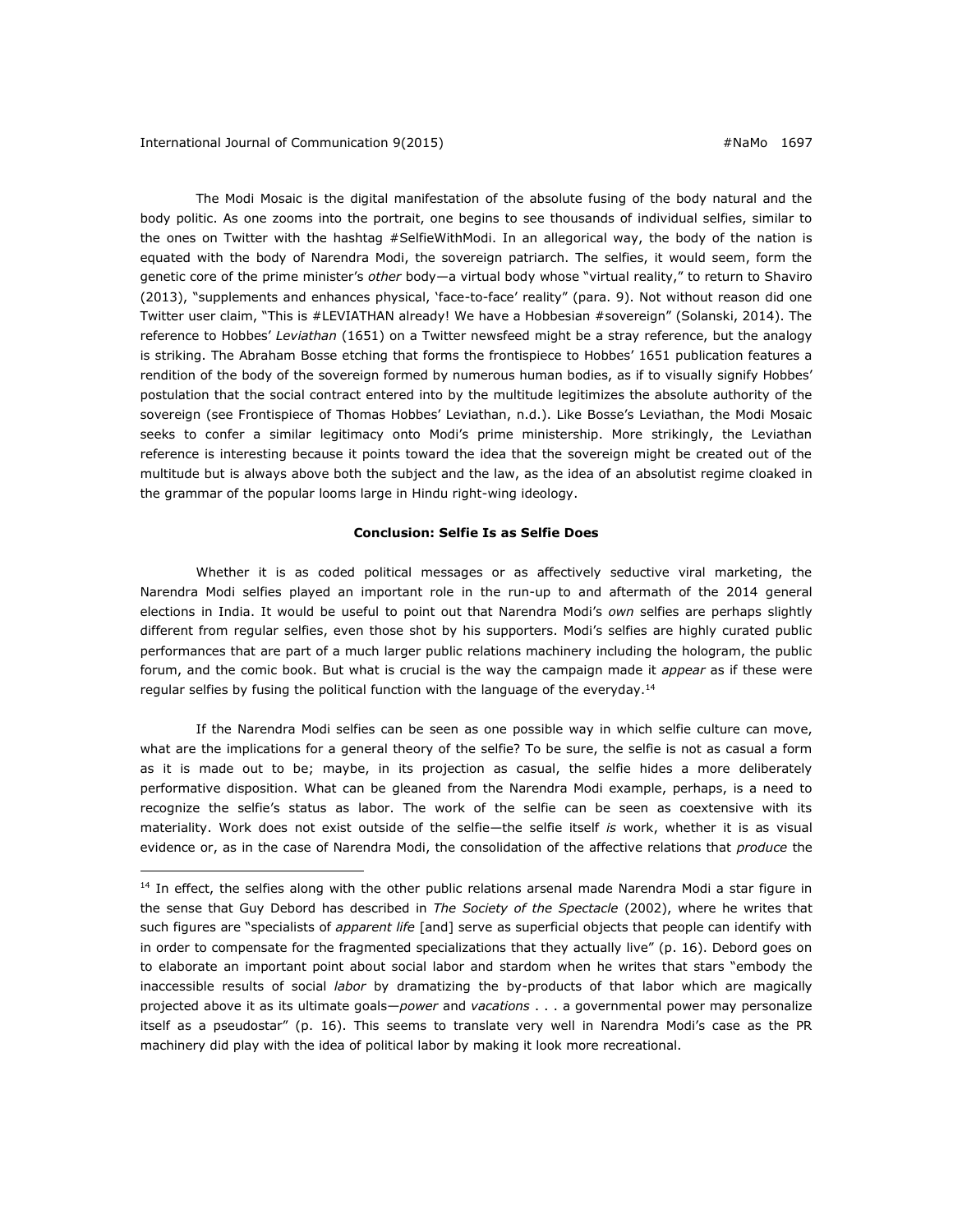The Modi Mosaic is the digital manifestation of the absolute fusing of the body natural and the body politic. As one zooms into the portrait, one begins to see thousands of individual selfies, similar to the ones on Twitter with the hashtag #SelfieWithModi. In an allegorical way, the body of the nation is equated with the body of Narendra Modi, the sovereign patriarch. The selfies, it would seem, form the genetic core of the prime minister's *other* body—a virtual body whose "virtual reality," to return to Shaviro (2013), "supplements and enhances physical, 'face-to-face' reality" (para. 9). Not without reason did one Twitter user claim, "This is #LEVIATHAN already! We have a Hobbesian #sovereign" (Solanski, 2014). The reference to Hobbes' *Leviathan* (1651) on a Twitter newsfeed might be a stray reference, but the analogy is striking. The Abraham Bosse etching that forms the frontispiece to Hobbes' 1651 publication features a rendition of the body of the sovereign formed by numerous human bodies, as if to visually signify Hobbes' postulation that the social contract entered into by the multitude legitimizes the absolute authority of the sovereign (see Frontispiece of Thomas Hobbes' Leviathan, n.d.). Like Bosse's Leviathan, the Modi Mosaic seeks to confer a similar legitimacy onto Modi's prime ministership. More strikingly, the Leviathan reference is interesting because it points toward the idea that the sovereign might be created out of the multitude but is always above both the subject and the law, as the idea of an absolutist regime cloaked in the grammar of the popular looms large in Hindu right-wing ideology.

### **Conclusion: Selfie Is as Selfie Does**

Whether it is as coded political messages or as affectively seductive viral marketing, the Narendra Modi selfies played an important role in the run-up to and aftermath of the 2014 general elections in India. It would be useful to point out that Narendra Modi's *own* selfies are perhaps slightly different from regular selfies, even those shot by his supporters. Modi's selfies are highly curated public performances that are part of a much larger public relations machinery including the hologram, the public forum, and the comic book. But what is crucial is the way the campaign made it *appear* as if these were regular selfies by fusing the political function with the language of the everyday.<sup>14</sup>

If the Narendra Modi selfies can be seen as one possible way in which selfie culture can move, what are the implications for a general theory of the selfie? To be sure, the selfie is not as casual a form as it is made out to be; maybe, in its projection as casual, the selfie hides a more deliberately performative disposition. What can be gleaned from the Narendra Modi example, perhaps, is a need to recognize the selfie's status as labor. The work of the selfie can be seen as coextensive with its materiality. Work does not exist outside of the selfie—the selfie itself *is* work, whether it is as visual evidence or, as in the case of Narendra Modi, the consolidation of the affective relations that *produce* the

 $14$  In effect, the selfies along with the other public relations arsenal made Narendra Modi a star figure in the sense that Guy Debord has described in *The Society of the Spectacle* (2002), where he writes that such figures are "specialists of *apparent life* [and] serve as superficial objects that people can identify with in order to compensate for the fragmented specializations that they actually live" (p. 16). Debord goes on to elaborate an important point about social labor and stardom when he writes that stars "embody the inaccessible results of social *labor* by dramatizing the by-products of that labor which are magically projected above it as its ultimate goals—*power* and *vacations* . . . a governmental power may personalize itself as a pseudostar" (p. 16). This seems to translate very well in Narendra Modi's case as the PR machinery did play with the idea of political labor by making it look more recreational.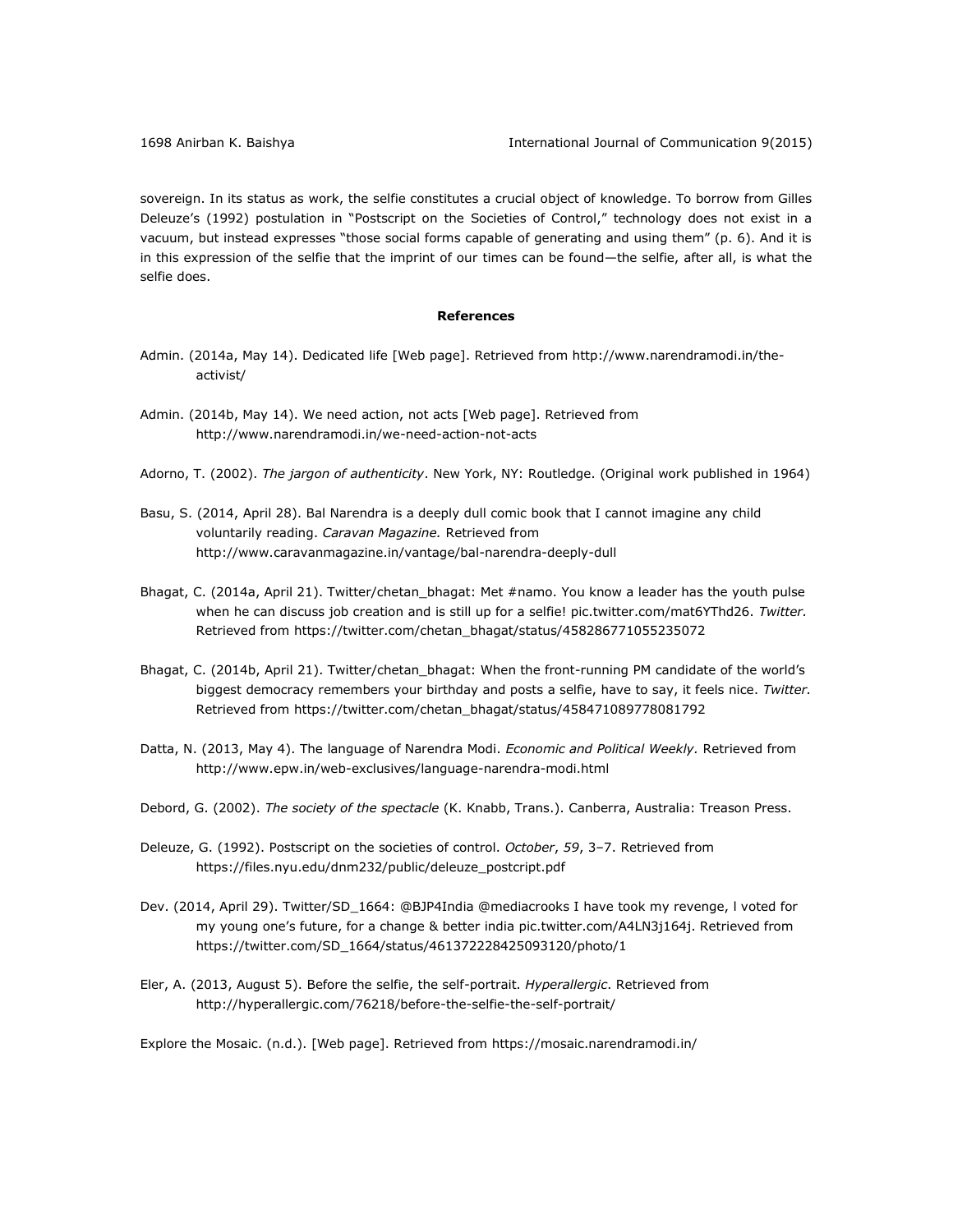sovereign. In its status as work, the selfie constitutes a crucial object of knowledge. To borrow from Gilles Deleuze's (1992) postulation in "Postscript on the Societies of Control," technology does not exist in a vacuum, but instead expresses "those social forms capable of generating and using them" (p. 6). And it is in this expression of the selfie that the imprint of our times can be found—the selfie, after all, is what the selfie does.

# **References**

- Admin. (2014a, May 14). Dedicated life [Web page]. Retrieved from [http://www.narendramodi.in/the](http://www.narendramodi.in/the-activist/)[activist/](http://www.narendramodi.in/the-activist/)
- Admin. (2014b, May 14). We need action, not acts [Web page]. Retrieved from <http://www.narendramodi.in/we-need-action-not-acts>
- Adorno, T. (2002). *The jargon of authenticity*. New York, NY: Routledge. (Original work published in 1964)
- Basu, S. (2014, April 28). Bal Narendra is a deeply dull comic book that I cannot imagine any child voluntarily reading. *Caravan Magazine.* Retrieved from <http://www.caravanmagazine.in/vantage/bal-narendra-deeply-dull>
- Bhagat, C. (2014a, April 21). Twitter/chetan\_bhagat: Met #namo. You know a leader has the youth pulse when he can discuss job creation and is still up for a selfie! pic.twitter.com/mat6YThd26. *Twitter.*  Retrieved from [https://twitter.com/chetan\\_bhagat/status/458286771055235072](https://twitter.com/chetan_bhagat/status/458286771055235072)
- Bhagat, C. (2014b, April 21). Twitter/chetan\_bhagat: When the front-running PM candidate of the world's biggest democracy remembers your birthday and posts a selfie, have to say, it feels nice. *Twitter.*  Retrieved from [https://twitter.com/chetan\\_bhagat/status/458471089778081792](https://twitter.com/chetan_bhagat/status/458471089778081792)
- Datta, N. (2013, May 4). The language of Narendra Modi. *Economic and Political Weekly.* Retrieved from <http://www.epw.in/web-exclusives/language-narendra-modi.html>
- Debord, G. (2002). *The society of the spectacle* (K. Knabb, Trans.). Canberra, Australia: Treason Press.
- Deleuze, G. (1992). Postscript on the societies of control. *October*, *59*, 3–7. Retrieved from [https://files.nyu.edu/dnm232/public/deleuze\\_postcript.pdf](https://files.nyu.edu/dnm232/public/deleuze_postcript.pdf)
- Dev. (2014, April 29). Twitter/SD\_1664: @BJP4India @mediacrooks I have took my revenge, l voted for my young one's future, for a change & better india pic.twitter.com/A4LN3j164j. Retrieved from [https://twitter.com/SD\\_1664/status/461372228425093120/photo/1](https://twitter.com/SD_1664/status/461372228425093120/photo/1)
- Eler, A. (2013, August 5). Before the selfie, the self-portrait. *Hyperallergic*. Retrieved from <http://hyperallergic.com/76218/before-the-selfie-the-self-portrait/>

Explore the Mosaic. (n.d.). [Web page]. Retrieved from<https://mosaic.narendramodi.in/>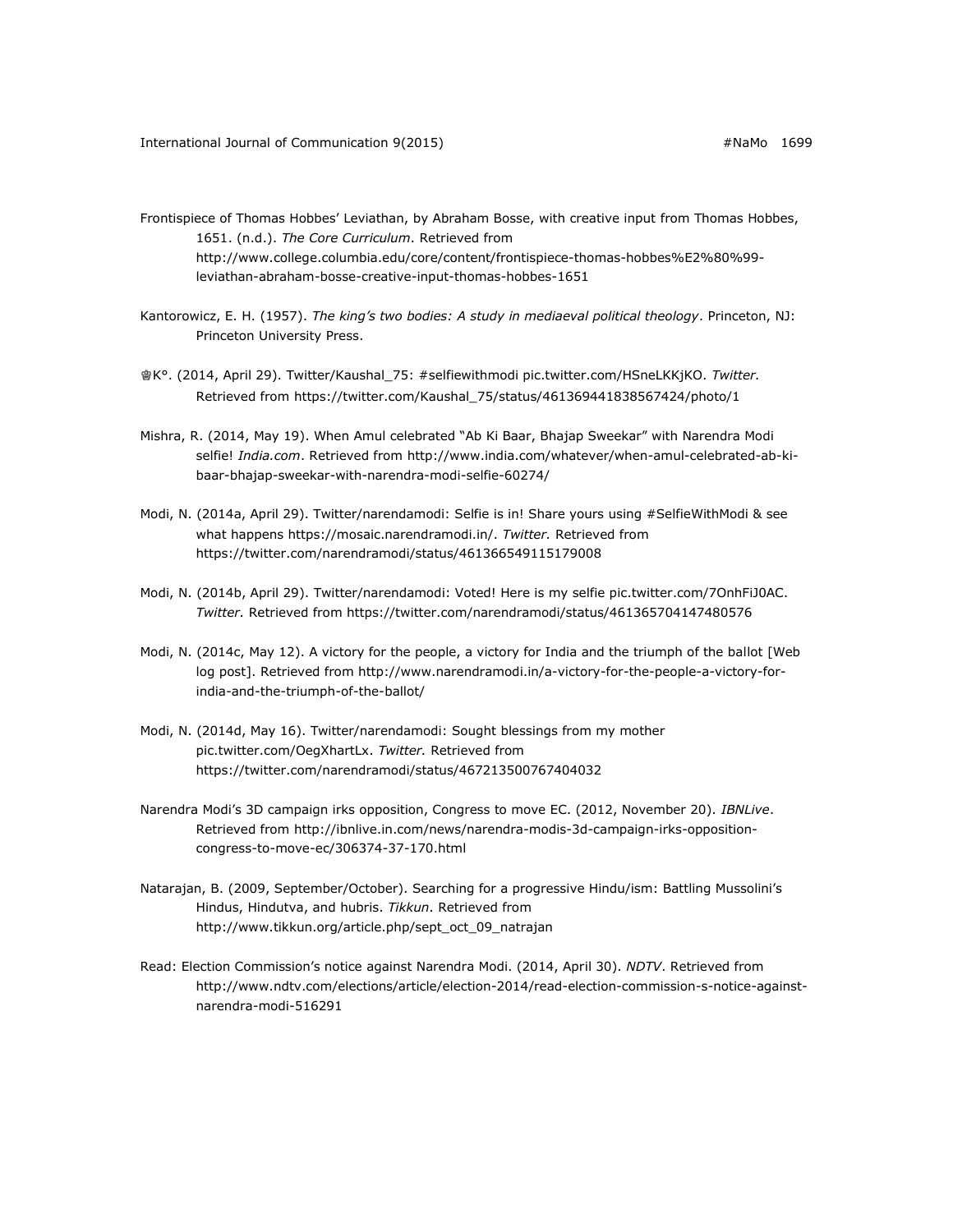- Frontispiece of Thomas Hobbes' Leviathan, by Abraham Bosse, with creative input from Thomas Hobbes, 1651. (n.d.). *The Core Curriculum*. Retrieved from [http://www.college.columbia.edu/core/content/frontispiece-thomas-hobbes%E2%80%99](http://www.college.columbia.edu/core/content/frontispiece-thomas-hobbes%E2%80%99-leviathan-abraham-bosse-creative-input-thomas-hobbes-1651) [leviathan-abraham-bosse-creative-input-thomas-hobbes-1651](http://www.college.columbia.edu/core/content/frontispiece-thomas-hobbes%E2%80%99-leviathan-abraham-bosse-creative-input-thomas-hobbes-1651)
- Kantorowicz, E. H. (1957). *The king's two bodies: A study in mediaeval political theology*. Princeton, NJ: Princeton University Press.
- ♔K°. (2014, April 29). Twitter/Kaushal\_75: #selfiewithmodi pic.twitter.com/HSneLKKjKO. *Twitter.*  Retrieved from [https://twitter.com/Kaushal\\_75/status/461369441838567424/photo/1](https://twitter.com/Kaushal_75/status/461369441838567424/photo/1)
- Mishra, R. (2014, May 19). When Amul celebrated "Ab Ki Baar, Bhajap Sweekar" with Narendra Modi selfie! *India.com*. Retrieved from [http://www.india.com/whatever/when-amul-celebrated-ab-ki](http://www.india.com/whatever/when-amul-celebrated-ab-ki-baar-bhajap-sweekar-with-narendra-modi-selfie-60274/)[baar-bhajap-sweekar-with-narendra-modi-selfie-60274/](http://www.india.com/whatever/when-amul-celebrated-ab-ki-baar-bhajap-sweekar-with-narendra-modi-selfie-60274/)
- Modi, N. (2014a, April 29). Twitter/narendamodi: Selfie is in! Share yours using #SelfieWithModi & see what happens https://mosaic.narendramodi.in/. *Twitter.* Retrieved from <https://twitter.com/narendramodi/status/461366549115179008>
- Modi, N. (2014b, April 29). Twitter/narendamodi: Voted! Here is my selfie pic.twitter.com/7OnhFiJ0AC. *Twitter.* Retrieved fro[m https://twitter.com/narendramodi/status/461365704147480576](https://twitter.com/narendramodi/status/461365704147480576)
- Modi, N. (2014c, May 12). A victory for the people, a victory for India and the triumph of the ballot [Web log post]. Retrieved from [http://www.narendramodi.in/a-victory-for-the-people-a-victory-for](http://www.narendramodi.in/a-victory-for-the-people-a-victory-for-india-and-the-triumph-of-the-ballot/)[india-and-the-triumph-of-the-ballot/](http://www.narendramodi.in/a-victory-for-the-people-a-victory-for-india-and-the-triumph-of-the-ballot/)
- Modi, N. (2014d, May 16). Twitter/narendamodi: Sought blessings from my mother pic.twitter.com/OegXhartLx. *Twitter.* Retrieved from <https://twitter.com/narendramodi/status/467213500767404032>
- Narendra Modi's 3D campaign irks opposition, Congress to move EC. (2012, November 20). *IBNLive*. Retrieved from [http://ibnlive.in.com/news/narendra-modis-3d-campaign-irks-opposition](http://ibnlive.in.com/news/narendra-modis-3d-campaign-irks-opposition-congress-to-move-ec/306374-37-170.html)[congress-to-move-ec/306374-37-170.html](http://ibnlive.in.com/news/narendra-modis-3d-campaign-irks-opposition-congress-to-move-ec/306374-37-170.html)
- Natarajan, B. (2009, September/October). Searching for a progressive Hindu/ism: Battling Mussolini's Hindus, Hindutva, and hubris. *Tikkun*. Retrieved from [http://www.tikkun.org/article.php/sept\\_oct\\_09\\_natrajan](http://www.tikkun.org/article.php/sept_oct_09_natrajan)
- Read: Election Commission's notice against Narendra Modi. (2014, April 30). *NDTV*. Retrieved from [http://www.ndtv.com/elections/article/election-2014/read-election-commission-s-notice-against](http://www.ndtv.com/elections/article/election-2014/read-election-commission-s-notice-against-narendra-modi-516291)[narendra-modi-516291](http://www.ndtv.com/elections/article/election-2014/read-election-commission-s-notice-against-narendra-modi-516291)